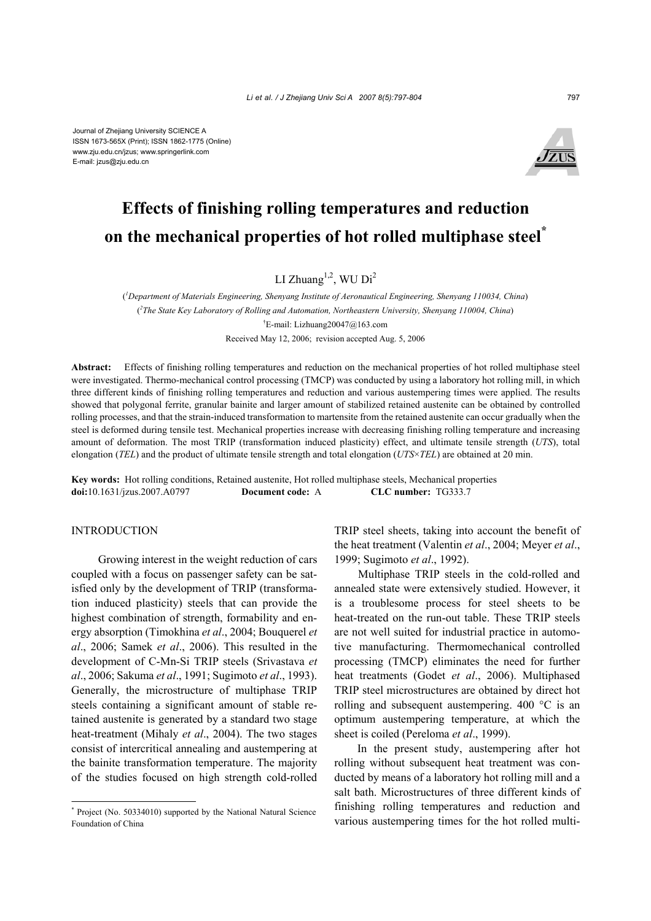

# **Effects of finishing rolling temperatures and reduction on the mechanical properties of hot rolled multiphase steel\***

LI Zhuang<sup>1,2</sup>, WU Di<sup>2</sup>

( *1 Department of Materials Engineering, Shenyang Institute of Aeronautical Engineering, Shenyang 110034, China*) ( *2 The State Key Laboratory of Rolling and Automation, Northeastern University, Shenyang 110004, China*) † E-mail: Lizhuang20047@163.com Received May 12, 2006; revision accepted Aug. 5, 2006

**Abstract:** Effects of finishing rolling temperatures and reduction on the mechanical properties of hot rolled multiphase steel were investigated. Thermo-mechanical control processing (TMCP) was conducted by using a laboratory hot rolling mill, in which three different kinds of finishing rolling temperatures and reduction and various austempering times were applied. The results showed that polygonal ferrite, granular bainite and larger amount of stabilized retained austenite can be obtained by controlled rolling processes, and that the strain-induced transformation to martensite from the retained austenite can occur gradually when the steel is deformed during tensile test. Mechanical properties increase with decreasing finishing rolling temperature and increasing amount of deformation. The most TRIP (transformation induced plasticity) effect, and ultimate tensile strength (*UTS*), total elongation (*TEL*) and the product of ultimate tensile strength and total elongation (*UTS*×*TEL*) are obtained at 20 min.

**Key words:** Hot rolling conditions, Retained austenite, Hot rolled multiphase steels, Mechanical properties **doi:**10.1631/jzus.2007.A0797 **Document code:** A **CLC number:** TG333.7

#### INTRODUCTION

 Growing interest in the weight reduction of cars coupled with a focus on passenger safety can be satisfied only by the development of TRIP (transformation induced plasticity) steels that can provide the highest combination of strength, formability and energy absorption (Timokhina *et al*., 2004; Bouquerel *et al*., 2006; Samek *et al*., 2006). This resulted in the development of C-Mn-Si TRIP steels (Srivastava *et al*., 2006; Sakuma *et al*., 1991; Sugimoto *et al*., 1993). Generally, the microstructure of multiphase TRIP steels containing a significant amount of stable retained austenite is generated by a standard two stage heat-treatment (Mihaly *et al*., 2004). The two stages consist of intercritical annealing and austempering at the bainite transformation temperature. The majority of the studies focused on high strength cold-rolled

TRIP steel sheets, taking into account the benefit of the heat treatment (Valentin *et al*., 2004; Meyer *et al*., 1999; Sugimoto *et al*., 1992).

Multiphase TRIP steels in the cold-rolled and annealed state were extensively studied. However, it is a troublesome process for steel sheets to be heat-treated on the run-out table. These TRIP steels are not well suited for industrial practice in automotive manufacturing. Thermomechanical controlled processing (TMCP) eliminates the need for further heat treatments (Godet *et al*., 2006). Multiphased TRIP steel microstructures are obtained by direct hot rolling and subsequent austempering. 400 °C is an optimum austempering temperature, at which the sheet is coiled (Pereloma *et al*., 1999).

In the present study, austempering after hot rolling without subsequent heat treatment was conducted by means of a laboratory hot rolling mill and a salt bath. Microstructures of three different kinds of finishing rolling temperatures and reduction and various austempering times for the hot rolled multi-

<sup>\*</sup> Project (No. 50334010) supported by the National Natural Science Foundation of China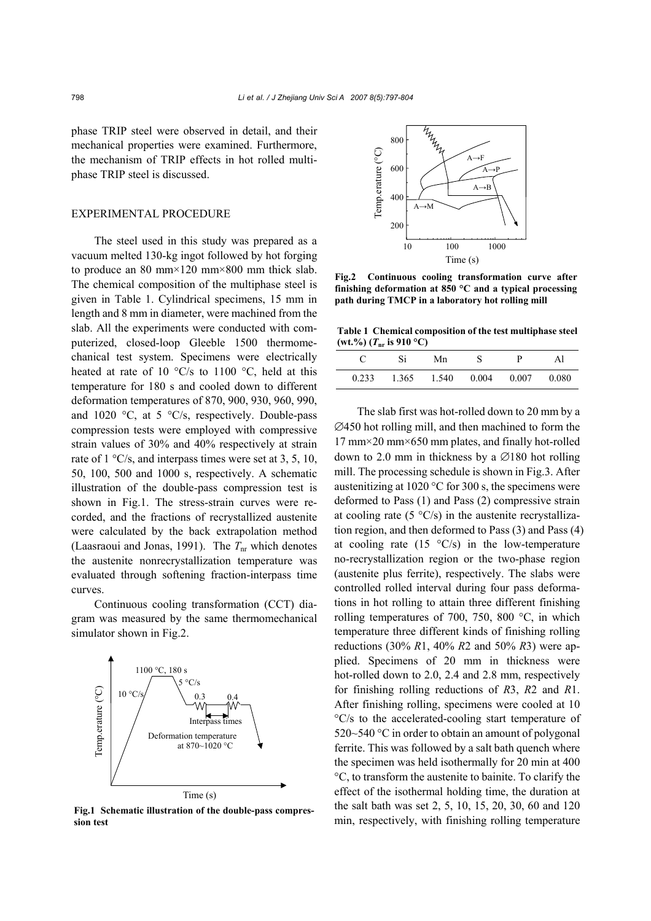phase TRIP steel were observed in detail, and their mechanical properties were examined. Furthermore, the mechanism of TRIP effects in hot rolled multiphase TRIP steel is discussed.

# EXPERIMENTAL PROCEDURE

The steel used in this study was prepared as a vacuum melted 130-kg ingot followed by hot forging to produce an 80 mm×120 mm×800 mm thick slab. The chemical composition of the multiphase steel is given in Table 1. Cylindrical specimens, 15 mm in length and 8 mm in diameter, were machined from the slab. All the experiments were conducted with computerized, closed-loop Gleeble 1500 thermomechanical test system. Specimens were electrically heated at rate of 10  $\degree$ C/s to 1100  $\degree$ C, held at this temperature for 180 s and cooled down to different deformation temperatures of 870, 900, 930, 960, 990, and 1020  $\degree$ C, at 5  $\degree$ C/s, respectively. Double-pass compression tests were employed with compressive strain values of 30% and 40% respectively at strain rate of 1 °C/s, and interpass times were set at 3, 5, 10, 50, 100, 500 and 1000 s, respectively. A schematic illustration of the double-pass compression test is shown in Fig.1. The stress-strain curves were recorded, and the fractions of recrystallized austenite were calculated by the back extrapolation method (Laasraoui and Jonas, 1991). The  $T_{nr}$  which denotes the austenite nonrecrystallization temperature was evaluated through softening fraction-interpass time curves.

Continuous cooling transformation (CCT) diagram was measured by the same thermomechanical simulator shown in Fig.2.



**Fig.1 Schematic illustration of the double-pass compression test**



**Fig.2 Continuous cooling transformation curve after finishing deformation at 850 °C and a typical processing path during TMCP in a laboratory hot rolling mill**

**Table 1 Chemical composition of the test multiphase steel**  $(Wt.^{9}/_{0})$   $(T_{nr}$  is 910 °C)

|       | Si<br>Mn | μ | Αl                                      |
|-------|----------|---|-----------------------------------------|
| 0.233 |          |   | $1.365$ $1.540$ $0.004$ $0.007$ $0.080$ |

The slab first was hot-rolled down to 20 mm by a ∅450 hot rolling mill, and then machined to form the 17 mm×20 mm×650 mm plates, and finally hot-rolled down to 2.0 mm in thickness by a ∅180 hot rolling mill. The processing schedule is shown in Fig.3. After austenitizing at 1020 °C for 300 s, the specimens were deformed to Pass (1) and Pass (2) compressive strain at cooling rate  $(5 \text{ }^{\circ}C/s)$  in the austenite recrystallization region, and then deformed to Pass (3) and Pass (4) at cooling rate  $(15 \text{ °C/s})$  in the low-temperature no-recrystallization region or the two-phase region (austenite plus ferrite), respectively. The slabs were controlled rolled interval during four pass deformations in hot rolling to attain three different finishing rolling temperatures of 700, 750, 800 °C, in which temperature three different kinds of finishing rolling reductions (30% *R*1, 40% *R*2 and 50% *R*3) were applied. Specimens of 20 mm in thickness were hot-rolled down to 2.0, 2.4 and 2.8 mm, respectively for finishing rolling reductions of *R*3, *R*2 and *R*1. After finishing rolling, specimens were cooled at 10 °C/s to the accelerated-cooling start temperature of 520~540 °C in order to obtain an amount of polygonal ferrite. This was followed by a salt bath quench where the specimen was held isothermally for 20 min at 400 °C, to transform the austenite to bainite. To clarify the effect of the isothermal holding time, the duration at the salt bath was set 2, 5, 10, 15, 20, 30, 60 and 120 min, respectively, with finishing rolling temperature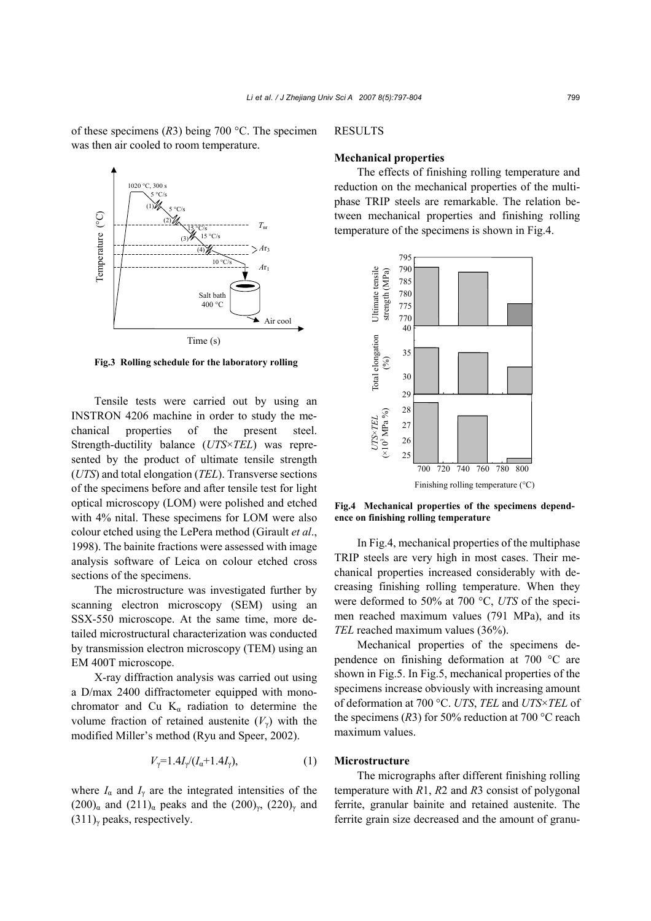of these specimens (*R*3) being 700 °C. The specimen was then air cooled to room temperature.



**Fig.3 Rolling schedule for the laboratory rolling**

Tensile tests were carried out by using an INSTRON 4206 machine in order to study the mechanical properties of the present steel. Strength-ductility balance (*UTS*×*TEL*) was represented by the product of ultimate tensile strength (*UTS*) and total elongation (*TEL*). Transverse sections of the specimens before and after tensile test for light optical microscopy (LOM) were polished and etched with 4% nital. These specimens for LOM were also colour etched using the LePera method (Girault *et al*., 1998). The bainite fractions were assessed with image analysis software of Leica on colour etched cross sections of the specimens.

The microstructure was investigated further by scanning electron microscopy (SEM) using an SSX-550 microscope. At the same time, more detailed microstructural characterization was conducted by transmission electron microscopy (TEM) using an EM 400T microscope.

X-ray diffraction analysis was carried out using a D/max 2400 diffractometer equipped with monochromator and Cu  $K_{\alpha}$  radiation to determine the volume fraction of retained austenite  $(V_{\gamma})$  with the modified Miller's method (Ryu and Speer, 2002).

$$
V_{\gamma} = 1.4I_{\gamma}/(I_{\alpha} + 1.4I_{\gamma}), \tag{1}
$$

where  $I_{\alpha}$  and  $I_{\gamma}$  are the integrated intensities of the  $(200)_{\alpha}$  and  $(211)_{\alpha}$  peaks and the  $(200)_{\gamma}$ ,  $(220)_{\gamma}$  and  $(311)$ <sub>γ</sub> peaks, respectively.

# RESULTS

## **Mechanical properties**

The effects of finishing rolling temperature and reduction on the mechanical properties of the multiphase TRIP steels are remarkable. The relation between mechanical properties and finishing rolling temperature of the specimens is shown in Fig.4.



**Fig.4 Mechanical properties of the specimens dependence on finishing rolling temperature**

In Fig.4, mechanical properties of the multiphase TRIP steels are very high in most cases. Their mechanical properties increased considerably with decreasing finishing rolling temperature. When they were deformed to 50% at 700 °C, *UTS* of the specimen reached maximum values (791 MPa), and its *TEL* reached maximum values (36%).

Mechanical properties of the specimens dependence on finishing deformation at 700 °C are shown in Fig.5. In Fig.5, mechanical properties of the specimens increase obviously with increasing amount of deformation at 700 °C. *UTS*, *TEL* and *UTS*×*TEL* of the specimens  $(R3)$  for 50% reduction at 700 °C reach maximum values.

# **Microstructure**

The micrographs after different finishing rolling temperature with *R*1, *R*2 and *R*3 consist of polygonal ferrite, granular bainite and retained austenite. The ferrite grain size decreased and the amount of granu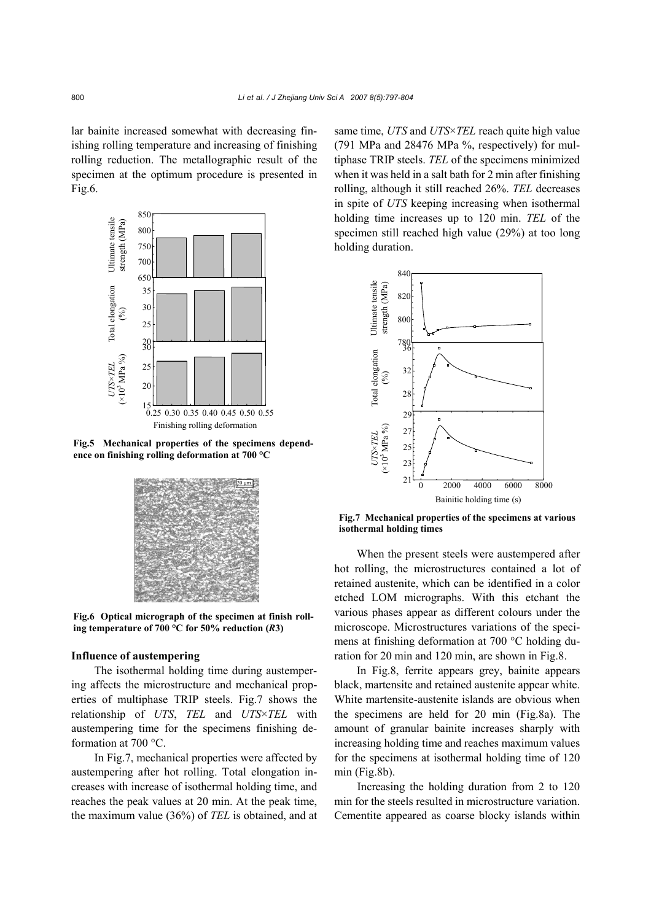lar bainite increased somewhat with decreasing finishing rolling temperature and increasing of finishing rolling reduction. The metallographic result of the specimen at the optimum procedure is presented in Fig.6.



**Fig.5 Mechanical properties of the specimens depend-**



**Fig.6 Optical micrograph of the specimen at finish rolling temperature of 700 °C for 50% reduction (***R***3)** 

#### **Influence of austempering**

The isothermal holding time during austempering affects the microstructure and mechanical properties of multiphase TRIP steels. Fig.7 shows the relationship of *UTS*, *TEL* and *UTS*×*TEL* with austempering time for the specimens finishing deformation at 700 °C.

In Fig.7, mechanical properties were affected by austempering after hot rolling. Total elongation increases with increase of isothermal holding time, and reaches the peak values at 20 min. At the peak time, the maximum value (36%) of *TEL* is obtained, and at same time, *UTS* and *UTS*×*TEL* reach quite high value (791 MPa and 28476 MPa %, respectively) for multiphase TRIP steels. *TEL* of the specimens minimized when it was held in a salt bath for 2 min after finishing rolling, although it still reached 26%. *TEL* decreases in spite of *UTS* keeping increasing when isothermal holding time increases up to 120 min. *TEL* of the specimen still reached high value (29%) at too long holding duration.



**Fig.7 Mechanical properties of the specimens at various** 

When the present steels were austempered after hot rolling, the microstructures contained a lot of retained austenite, which can be identified in a color etched LOM micrographs. With this etchant the various phases appear as different colours under the microscope. Microstructures variations of the specimens at finishing deformation at 700 °C holding duration for 20 min and 120 min, are shown in Fig.8.

In Fig.8, ferrite appears grey, bainite appears black, martensite and retained austenite appear white. White martensite-austenite islands are obvious when the specimens are held for 20 min (Fig.8a). The amount of granular bainite increases sharply with increasing holding time and reaches maximum values for the specimens at isothermal holding time of 120 min (Fig.8b).

Increasing the holding duration from 2 to 120 min for the steels resulted in microstructure variation. Cementite appeared as coarse blocky islands within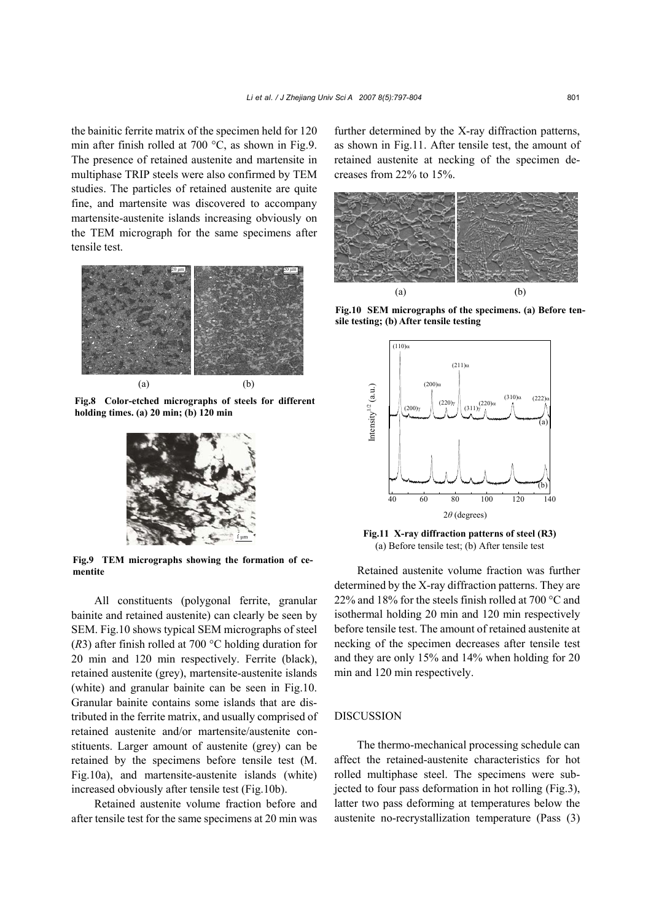the bainitic ferrite matrix of the specimen held for 120 min after finish rolled at 700 °C, as shown in Fig.9. The presence of retained austenite and martensite in multiphase TRIP steels were also confirmed by TEM studies. The particles of retained austenite are quite fine, and martensite was discovered to accompany martensite-austenite islands increasing obviously on the TEM micrograph for the same specimens after tensile test.



**Fig.8 Color-etched micrographs of steels for different holding times. (a) 20 min; (b) 120 min**



**Fig.9 TEM micrographs showing the formation of cementite**

All constituents (polygonal ferrite, granular bainite and retained austenite) can clearly be seen by SEM. Fig.10 shows typical SEM micrographs of steel (*R*3) after finish rolled at 700 °C holding duration for 20 min and 120 min respectively. Ferrite (black), retained austenite (grey), martensite-austenite islands (white) and granular bainite can be seen in Fig.10. Granular bainite contains some islands that are distributed in the ferrite matrix, and usually comprised of retained austenite and/or martensite/austenite constituents. Larger amount of austenite (grey) can be retained by the specimens before tensile test (M. Fig.10a), and martensite-austenite islands (white) increased obviously after tensile test (Fig.10b).

Retained austenite volume fraction before and after tensile test for the same specimens at 20 min was further determined by the X-ray diffraction patterns, as shown in Fig.11. After tensile test, the amount of retained austenite at necking of the specimen decreases from 22% to 15%.



**Fig.10 SEM micrographs of the specimens. (a) Before tensile testing; (b) After tensile testing** 



**Fig.11 X-ray diffraction patterns of steel (R3)** (a) Before tensile test; (b) After tensile test

Retained austenite volume fraction was further determined by the X-ray diffraction patterns. They are 22% and 18% for the steels finish rolled at 700 °C and isothermal holding 20 min and 120 min respectively before tensile test. The amount of retained austenite at necking of the specimen decreases after tensile test and they are only 15% and 14% when holding for 20 min and 120 min respectively.

# DISCUSSION

The thermo-mechanical processing schedule can affect the retained-austenite characteristics for hot rolled multiphase steel. The specimens were subjected to four pass deformation in hot rolling (Fig.3), latter two pass deforming at temperatures below the austenite no-recrystallization temperature (Pass (3)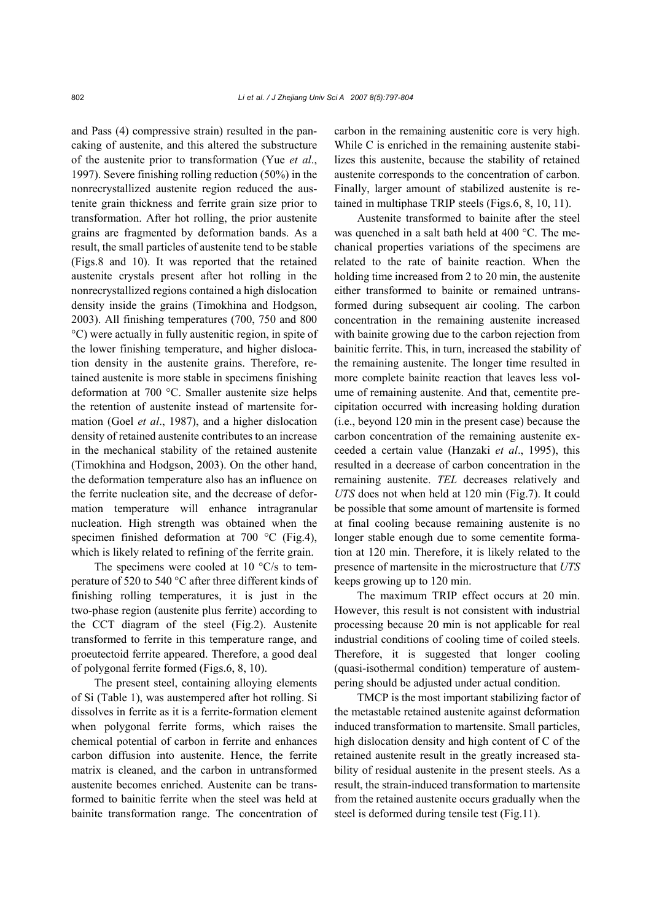and Pass (4) compressive strain) resulted in the pancaking of austenite, and this altered the substructure of the austenite prior to transformation (Yue *et al*., 1997). Severe finishing rolling reduction (50%) in the nonrecrystallized austenite region reduced the austenite grain thickness and ferrite grain size prior to transformation. After hot rolling, the prior austenite grains are fragmented by deformation bands. As a result, the small particles of austenite tend to be stable (Figs.8 and 10). It was reported that the retained austenite crystals present after hot rolling in the nonrecrystallized regions contained a high dislocation density inside the grains (Timokhina and Hodgson, 2003). All finishing temperatures (700, 750 and 800 °C) were actually in fully austenitic region, in spite of the lower finishing temperature, and higher dislocation density in the austenite grains. Therefore, retained austenite is more stable in specimens finishing deformation at 700 °C. Smaller austenite size helps the retention of austenite instead of martensite formation (Goel *et al*., 1987), and a higher dislocation density of retained austenite contributes to an increase in the mechanical stability of the retained austenite (Timokhina and Hodgson, 2003). On the other hand, the deformation temperature also has an influence on the ferrite nucleation site, and the decrease of deformation temperature will enhance intragranular nucleation. High strength was obtained when the specimen finished deformation at 700 °C (Fig.4), which is likely related to refining of the ferrite grain.

The specimens were cooled at 10  $\degree$ C/s to temperature of 520 to 540 °C after three different kinds of finishing rolling temperatures, it is just in the two-phase region (austenite plus ferrite) according to the CCT diagram of the steel (Fig.2). Austenite transformed to ferrite in this temperature range, and proeutectoid ferrite appeared. Therefore, a good deal of polygonal ferrite formed (Figs.6, 8, 10).

The present steel, containing alloying elements of Si (Table 1), was austempered after hot rolling. Si dissolves in ferrite as it is a ferrite-formation element when polygonal ferrite forms, which raises the chemical potential of carbon in ferrite and enhances carbon diffusion into austenite. Hence, the ferrite matrix is cleaned, and the carbon in untransformed austenite becomes enriched. Austenite can be transformed to bainitic ferrite when the steel was held at bainite transformation range. The concentration of carbon in the remaining austenitic core is very high. While C is enriched in the remaining austenite stabilizes this austenite, because the stability of retained austenite corresponds to the concentration of carbon. Finally, larger amount of stabilized austenite is retained in multiphase TRIP steels (Figs.6, 8, 10, 11).

Austenite transformed to bainite after the steel was quenched in a salt bath held at 400 °C. The mechanical properties variations of the specimens are related to the rate of bainite reaction. When the holding time increased from 2 to 20 min, the austenite either transformed to bainite or remained untransformed during subsequent air cooling. The carbon concentration in the remaining austenite increased with bainite growing due to the carbon rejection from bainitic ferrite. This, in turn, increased the stability of the remaining austenite. The longer time resulted in more complete bainite reaction that leaves less volume of remaining austenite. And that, cementite precipitation occurred with increasing holding duration (i.e., beyond 120 min in the present case) because the carbon concentration of the remaining austenite exceeded a certain value (Hanzaki *et al*., 1995), this resulted in a decrease of carbon concentration in the remaining austenite. *TEL* decreases relatively and *UTS* does not when held at 120 min (Fig.7). It could be possible that some amount of martensite is formed at final cooling because remaining austenite is no longer stable enough due to some cementite formation at 120 min. Therefore, it is likely related to the presence of martensite in the microstructure that *UTS*  keeps growing up to 120 min.

The maximum TRIP effect occurs at 20 min. However, this result is not consistent with industrial processing because 20 min is not applicable for real industrial conditions of cooling time of coiled steels. Therefore, it is suggested that longer cooling (quasi-isothermal condition) temperature of austempering should be adjusted under actual condition.

TMCP is the most important stabilizing factor of the metastable retained austenite against deformation induced transformation to martensite. Small particles, high dislocation density and high content of C of the retained austenite result in the greatly increased stability of residual austenite in the present steels. As a result, the strain-induced transformation to martensite from the retained austenite occurs gradually when the steel is deformed during tensile test (Fig.11).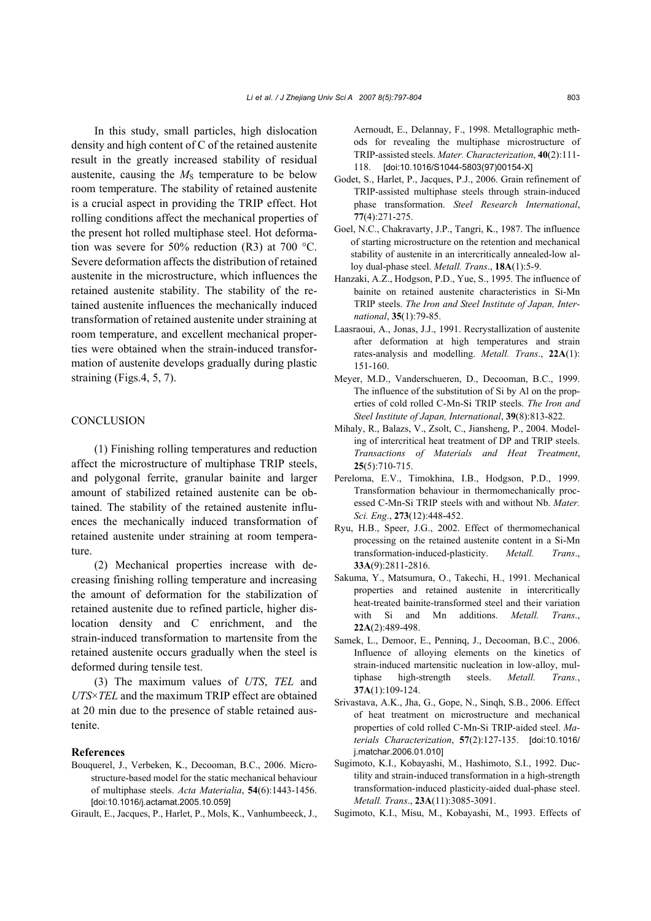In this study, small particles, high dislocation density and high content of C of the retained austenite result in the greatly increased stability of residual austenite, causing the  $M<sub>S</sub>$  temperature to be below room temperature. The stability of retained austenite is a crucial aspect in providing the TRIP effect. Hot rolling conditions affect the mechanical properties of the present hot rolled multiphase steel. Hot deformation was severe for 50% reduction (R3) at 700 °C. Severe deformation affects the distribution of retained austenite in the microstructure, which influences the retained austenite stability. The stability of the retained austenite influences the mechanically induced transformation of retained austenite under straining at room temperature, and excellent mechanical properties were obtained when the strain-induced transformation of austenite develops gradually during plastic straining (Figs.4, 5, 7).

# **CONCLUSION**

(1) Finishing rolling temperatures and reduction affect the microstructure of multiphase TRIP steels, and polygonal ferrite, granular bainite and larger amount of stabilized retained austenite can be obtained. The stability of the retained austenite influences the mechanically induced transformation of retained austenite under straining at room temperature.

(2) Mechanical properties increase with decreasing finishing rolling temperature and increasing the amount of deformation for the stabilization of retained austenite due to refined particle, higher dislocation density and C enrichment, and the strain-induced transformation to martensite from the retained austenite occurs gradually when the steel is deformed during tensile test.

(3) The maximum values of *UTS*, *TEL* and *UTS*×*TEL* and the maximum TRIP effect are obtained at 20 min due to the presence of stable retained austenite.

# **References**

Bouquerel, J., Verbeken, K., Decooman, B.C., 2006. Microstructure-based model for the static mechanical behaviour of multiphase steels. *Acta Materialia*, **54**(6):1443-1456. [doi:10.1016/j.actamat.2005.10.059]

Girault, E., Jacques, P., Harlet, P., Mols, K., Vanhumbeeck, J.,

Aernoudt, E., Delannay, F., 1998. Metallographic methods for revealing the multiphase microstructure of TRIP-assisted steels. *Mater. Characterization*, **40**(2):111- 118. [doi:10.1016/S1044-5803(97)00154-X]

- Godet, S., Harlet, P., Jacques, P.J., 2006. Grain refinement of TRIP-assisted multiphase steels through strain-induced phase transformation. *Steel Research International*, **77**(4):271-275.
- Goel, N.C., Chakravarty, J.P., Tangri, K., 1987. The influence of starting microstructure on the retention and mechanical stability of austenite in an intercritically annealed-low alloy dual-phase steel. *Metall. Trans*., **18A**(1):5-9.
- Hanzaki, A.Z., Hodgson, P.D., Yue, S., 1995. The influence of bainite on retained austenite characteristics in Si-Mn TRIP steels. *The Iron and Steel Institute of Japan, International*, **35**(1):79-85.
- Laasraoui, A., Jonas, J.J., 1991. Recrystallization of austenite after deformation at high temperatures and strain rates-analysis and modelling. *Metall. Trans*., **22A**(1): 151-160.
- Meyer, M.D., Vanderschueren, D., Decooman, B.C., 1999. The influence of the substitution of Si by Al on the properties of cold rolled C-Mn-Si TRIP steels. *The Iron and Steel Institute of Japan, International*, **39**(8):813-822.
- Mihaly, R., Balazs, V., Zsolt, C., Jiansheng, P., 2004. Modeling of intercritical heat treatment of DP and TRIP steels. *Transactions of Materials and Heat Treatment*, **25**(5):710-715.
- Pereloma, E.V., Timokhina, I.B., Hodgson, P.D., 1999. Transformation behaviour in thermomechanically processed C-Mn-Si TRIP steels with and without Nb. *Mater. Sci. Eng*., **273**(12):448-452.
- Ryu, H.B., Speer, J.G., 2002. Effect of thermomechanical processing on the retained austenite content in a Si-Mn transformation-induced-plasticity. *Metall. Trans*., **33A**(9):2811-2816.
- Sakuma, Y., Matsumura, O., Takechi, H., 1991. Mechanical properties and retained austenite in intercritically heat-treated bainite-transformed steel and their variation with Si and Mn additions. *Metall. Trans*., **22A**(2):489-498.
- Samek, L., Demoor, E., Penninq, J., Decooman, B.C., 2006. Influence of alloying elements on the kinetics of strain-induced martensitic nucleation in low-alloy, multiphase high-strength steels. *Metall. Trans.*, **37A**(1):109-124.
- Srivastava, A.K., Jha, G., Gope, N., Sinqh, S.B., 2006. Effect of heat treatment on microstructure and mechanical properties of cold rolled C-Mn-Si TRIP-aided steel. *Materials Characterization*, **57**(2):127-135. [doi:10.1016/ j.matchar.2006.01.010]
- Sugimoto, K.I., Kobayashi, M., Hashimoto, S.I., 1992. Ductility and strain-induced transformation in a high-strength transformation-induced plasticity-aided dual-phase steel. *Metall. Trans*., **23A**(11):3085-3091.
- Sugimoto, K.I., Misu, M., Kobayashi, M., 1993. Effects of